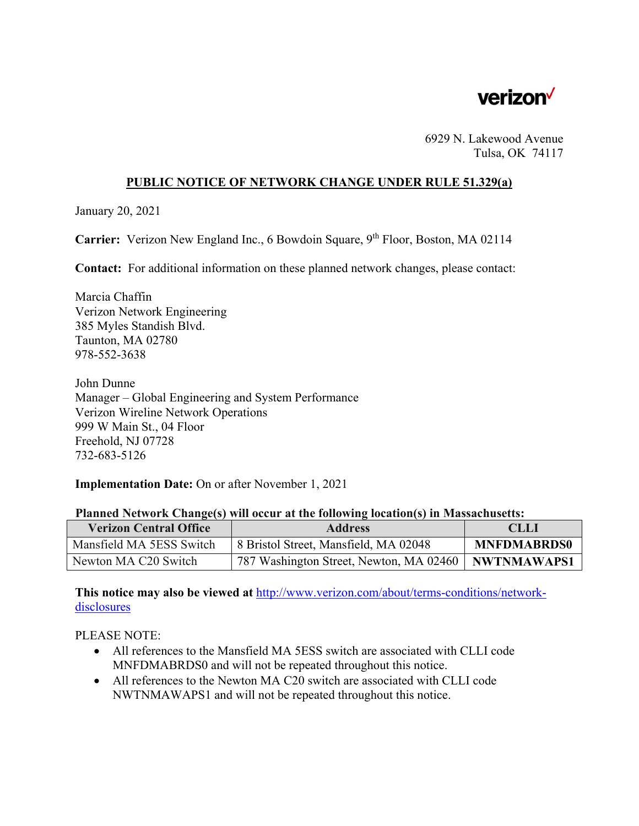

6929 N. Lakewood Avenue Tulsa, OK 74117

## **PUBLIC NOTICE OF NETWORK CHANGE UNDER RULE 51.329(a)**

January 20, 2021

**Carrier:** Verizon New England Inc., 6 Bowdoin Square, 9<sup>th</sup> Floor, Boston, MA 02114

**Contact:** For additional information on these planned network changes, please contact:

Marcia Chaffin Verizon Network Engineering 385 Myles Standish Blvd. Taunton, MA 02780 978-552-3638

John Dunne Manager – Global Engineering and System Performance Verizon Wireline Network Operations 999 W Main St., 04 Floor Freehold, NJ 07728 732-683-5126

**Implementation Date:** On or after November 1, 2021

## **Planned Network Change(s) will occur at the following location(s) in Massachusetts:**

| <b>Verizon Central Office</b> | <b>Address</b>                                        | <b>CLLI</b>        |
|-------------------------------|-------------------------------------------------------|--------------------|
| Mansfield MA 5ESS Switch      | 8 Bristol Street, Mansfield, MA 02048                 | <b>MNFDMABRDS0</b> |
| Newton MA C20 Switch          | 787 Washington Street, Newton, MA 02460   NWTNMAWAPS1 |                    |

**This notice may also be viewed at** http://www.verizon.com/about/terms-conditions/network**disclosures** 

PLEASE NOTE:

- All references to the Mansfield MA 5ESS switch are associated with CLLI code MNFDMABRDS0 and will not be repeated throughout this notice.
- All references to the Newton MA C20 switch are associated with CLLI code NWTNMAWAPS1 and will not be repeated throughout this notice.